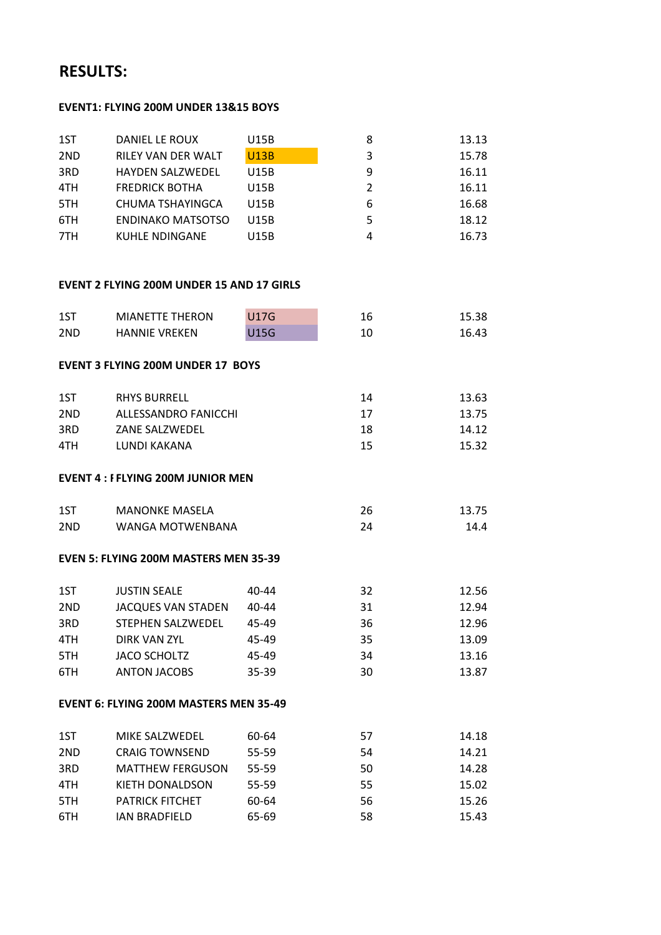# **RESULTS:**

# **EVENT1: FLYING 200M UNDER 13&15 BOYS**

| 1ST | DANIEL LE ROUX           | U15B        | 8             | 13.13 |
|-----|--------------------------|-------------|---------------|-------|
| 2ND | RILEY VAN DER WALT       | <b>U13B</b> | 3             | 15.78 |
| 3RD | <b>HAYDEN SALZWEDEL</b>  | U15B        | 9             | 16.11 |
| 4TH | <b>FREDRICK BOTHA</b>    | U15B        | $\mathcal{P}$ | 16.11 |
| 5TH | CHUMA TSHAYINGCA         | U15B        | 6             | 16.68 |
| 6TH | <b>ENDINAKO MATSOTSO</b> | U15B        | 5             | 18.12 |
| 7TH | KUHLE NDINGANE           | U15B        | 4             | 16.73 |

## **EVENT 2 FLYING 200M UNDER 15 AND 17 GIRLS**

| 1ST | <b>MIANETTE THERON</b>                        | <b>U17G</b> | 16 | 15.38 |
|-----|-----------------------------------------------|-------------|----|-------|
| 2ND | <b>HANNIE VREKEN</b>                          | <b>U15G</b> | 10 | 16.43 |
|     | <b>EVENT 3 FLYING 200M UNDER 17 BOYS</b>      |             |    |       |
| 1ST | <b>RHYS BURRELL</b>                           |             | 14 | 13.63 |
| 2ND | ALLESSANDRO FANICCHI                          |             | 17 | 13.75 |
| 3RD | ZANE SALZWEDEL                                |             | 18 | 14.12 |
| 4TH | <b>LUNDI KAKANA</b>                           |             | 15 | 15.32 |
|     | <b>EVENT 4: FFLYING 200M JUNIOR MEN</b>       |             |    |       |
| 1ST | <b>MANONKE MASELA</b>                         |             | 26 | 13.75 |
| 2ND | <b>WANGA MOTWENBANA</b>                       |             | 24 | 14.4  |
|     | <b>EVEN 5: FLYING 200M MASTERS MEN 35-39</b>  |             |    |       |
| 1ST | <b>JUSTIN SEALE</b>                           | $40 - 44$   | 32 | 12.56 |
| 2ND | JACQUES VAN STADEN                            | 40-44       | 31 | 12.94 |
| 3RD | STEPHEN SALZWEDEL                             | 45-49       | 36 | 12.96 |
| 4TH | DIRK VAN ZYL                                  | 45-49       | 35 | 13.09 |
| 5TH | <b>JACO SCHOLTZ</b>                           | 45-49       | 34 | 13.16 |
| 6TH | <b>ANTON JACOBS</b>                           | 35-39       | 30 | 13.87 |
|     | <b>EVENT 6: FLYING 200M MASTERS MEN 35-49</b> |             |    |       |
| 1ST | MIKE SALZWEDEL                                | 60-64       | 57 | 14.18 |
| 2ND | <b>CRAIG TOWNSEND</b>                         | 55-59       | 54 | 14.21 |
| 3RD | <b>MATTHEW FERGUSON</b>                       | 55-59       | 50 | 14.28 |
| 4TH | KIETH DONALDSON                               | 55-59       | 55 | 15.02 |
| 5TH | <b>PATRICK FITCHET</b>                        | 60-64       | 56 | 15.26 |
| 6TH | <b>IAN BRADFIELD</b>                          | 65-69       | 58 | 15.43 |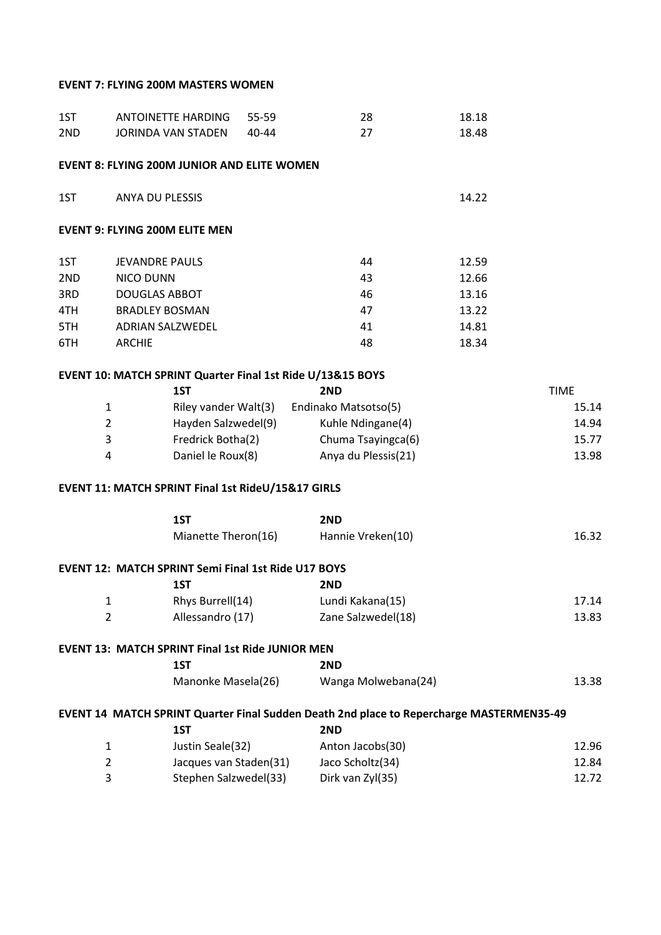## **EVENT 7: FLYING 200M MASTERS WOMEN**

| 1ST        |                                          | ANTOINETTE HARDING                                         | 55-59 | 28                                                                                       | 18.18          |                |
|------------|------------------------------------------|------------------------------------------------------------|-------|------------------------------------------------------------------------------------------|----------------|----------------|
| 2ND        |                                          | JORINDA VAN STADEN                                         | 40-44 | 27                                                                                       | 18.48          |                |
|            |                                          | <b>EVENT 8: FLYING 200M JUNIOR AND ELITE WOMEN</b>         |       |                                                                                          |                |                |
| 1ST        | ANYA DU PLESSIS                          |                                                            |       |                                                                                          | 14.22          |                |
|            |                                          | <b>EVENT 9: FLYING 200M ELITE MEN</b>                      |       |                                                                                          |                |                |
|            |                                          |                                                            |       |                                                                                          |                |                |
| 1ST        | <b>JEVANDRE PAULS</b>                    |                                                            |       | 44<br>43                                                                                 | 12.59          |                |
| 2ND<br>3RD | <b>NICO DUNN</b><br><b>DOUGLAS ABBOT</b> |                                                            |       | 46                                                                                       | 12.66<br>13.16 |                |
| 4TH        | <b>BRADLEY BOSMAN</b>                    |                                                            |       | 47                                                                                       | 13.22          |                |
| 5TH        |                                          | <b>ADRIAN SALZWEDEL</b>                                    |       | 41                                                                                       | 14.81          |                |
| 6TH        | <b>ARCHIE</b>                            |                                                            |       | 48                                                                                       | 18.34          |                |
|            |                                          |                                                            |       |                                                                                          |                |                |
|            |                                          |                                                            |       | EVENT 10: MATCH SPRINT Quarter Final 1st Ride U/13&15 BOYS                               |                | <b>TIME</b>    |
|            |                                          | 1ST                                                        |       | 2ND                                                                                      |                |                |
|            | $\mathbf{1}$<br>$\overline{2}$           | Hayden Salzwedel(9)                                        |       | Riley vander Walt(3) Endinako Matsotso(5)<br>Kuhle Ndingane(4)                           |                | 15.14<br>14.94 |
|            | 3                                        | Fredrick Botha(2)                                          |       | Chuma Tsayingca(6)                                                                       |                | 15.77          |
|            | 4                                        | Daniel le Roux(8)                                          |       | Anya du Plessis(21)                                                                      |                | 13.98          |
|            |                                          |                                                            |       |                                                                                          |                |                |
|            |                                          | EVENT 11: MATCH SPRINT Final 1st RideU/15&17 GIRLS         |       |                                                                                          |                |                |
|            |                                          | 1ST                                                        |       | 2ND                                                                                      |                |                |
|            |                                          | Mianette Theron(16)                                        |       | Hannie Vreken(10)                                                                        |                | 16.32          |
|            |                                          | <b>EVENT 12: MATCH SPRINT Semi Final 1st Ride U17 BOYS</b> |       |                                                                                          |                |                |
|            |                                          | 1ST                                                        |       | 2ND                                                                                      |                |                |
|            | $\mathbf{1}$                             | Rhys Burrell(14)                                           |       | Lundi Kakana(15)                                                                         |                | 17.14          |
|            | $\overline{2}$                           | Allessandro (17)                                           |       | Zane Salzwedel(18)                                                                       |                | 13.83          |
|            |                                          | <b>EVENT 13: MATCH SPRINT Final 1st Ride JUNIOR MEN</b>    |       |                                                                                          |                |                |
|            |                                          | 1ST                                                        |       | 2ND                                                                                      |                |                |
|            |                                          | Manonke Masela(26)                                         |       | Wanga Molwebana(24)                                                                      |                | 13.38          |
|            |                                          |                                                            |       | EVENT 14 MATCH SPRINT Quarter Final Sudden Death 2nd place to Repercharge MASTERMEN35-49 |                |                |
|            |                                          | 1ST                                                        |       | 2ND                                                                                      |                |                |
|            | $\mathbf{1}$                             | Justin Seale(32)                                           |       | Anton Jacobs(30)                                                                         |                | 12.96          |
|            | $\overline{2}$                           | Jacques van Staden(31)                                     |       | Jaco Scholtz(34)                                                                         |                | 12.84          |
|            | 3                                        | Stephen Salzwedel(33)                                      |       | Dirk van Zyl(35)                                                                         |                | 12.72          |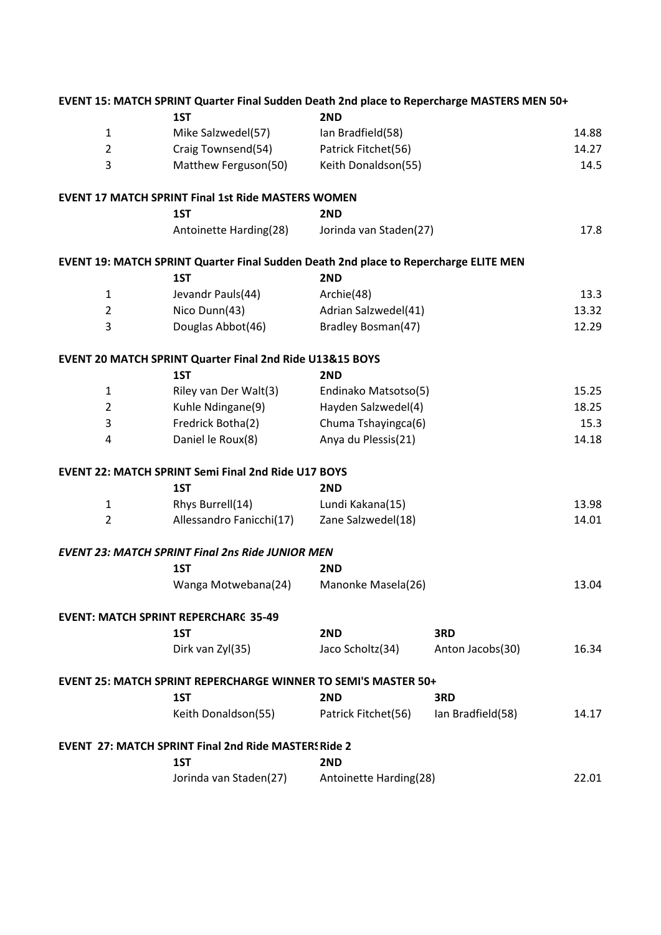|                | EVENT 15: MATCH SPRINT Quarter Final Sudden Death 2nd place to Repercharge MASTERS MEN 50+ |                        |                   |       |
|----------------|--------------------------------------------------------------------------------------------|------------------------|-------------------|-------|
|                | 1ST                                                                                        | 2ND                    |                   |       |
| $\mathbf{1}$   | Mike Salzwedel(57)                                                                         | Ian Bradfield(58)      |                   | 14.88 |
| $\overline{2}$ | Craig Townsend(54)                                                                         | Patrick Fitchet(56)    |                   | 14.27 |
| 3              | Matthew Ferguson(50)                                                                       | Keith Donaldson(55)    |                   | 14.5  |
|                | <b>EVENT 17 MATCH SPRINT Final 1st Ride MASTERS WOMEN</b>                                  |                        |                   |       |
|                | 1ST                                                                                        | 2ND                    |                   |       |
|                | Antoinette Harding(28)                                                                     | Jorinda van Staden(27) |                   | 17.8  |
|                | EVENT 19: MATCH SPRINT Quarter Final Sudden Death 2nd place to Repercharge ELITE MEN       |                        |                   |       |
|                | 1ST                                                                                        | 2ND                    |                   |       |
| $\mathbf{1}$   | Jevandr Pauls(44)                                                                          | Archie(48)             |                   | 13.3  |
| $\overline{2}$ | Nico Dunn(43)                                                                              | Adrian Salzwedel(41)   |                   | 13.32 |
| 3              | Douglas Abbot(46)                                                                          | Bradley Bosman(47)     |                   | 12.29 |
|                | <b>EVENT 20 MATCH SPRINT Quarter Final 2nd Ride U13&amp;15 BOYS</b>                        |                        |                   |       |
|                | 1ST                                                                                        | 2ND                    |                   |       |
| $\mathbf{1}$   | Riley van Der Walt(3)                                                                      | Endinako Matsotso(5)   |                   | 15.25 |
| $\overline{2}$ | Kuhle Ndingane(9)                                                                          | Hayden Salzwedel(4)    |                   | 18.25 |
| 3              | Fredrick Botha(2)                                                                          | Chuma Tshayingca(6)    |                   | 15.3  |
| 4              | Daniel le Roux(8)                                                                          | Anya du Plessis(21)    |                   | 14.18 |
|                | <b>EVENT 22: MATCH SPRINT Semi Final 2nd Ride U17 BOYS</b>                                 |                        |                   |       |
|                | 1ST                                                                                        | 2ND                    |                   |       |
| $\mathbf{1}$   | Rhys Burrell(14)                                                                           | Lundi Kakana(15)       |                   | 13.98 |
| $\overline{2}$ | Allessandro Fanicchi(17)                                                                   | Zane Salzwedel(18)     |                   | 14.01 |
|                | <b>EVENT 23: MATCH SPRINT Final 2ns Ride JUNIOR MEN</b>                                    |                        |                   |       |
|                | 1ST                                                                                        | 2ND                    |                   |       |
|                | Wanga Motwebana(24)                                                                        | Manonke Masela(26)     |                   | 13.04 |
|                | <b>EVENT: MATCH SPRINT REPERCHARG 35-49</b>                                                |                        |                   |       |
|                | 1ST                                                                                        | 2ND                    | 3RD               |       |
|                | Dirk van Zyl(35)                                                                           | Jaco Scholtz(34)       | Anton Jacobs(30)  | 16.34 |
|                | <b>EVENT 25: MATCH SPRINT REPERCHARGE WINNER TO SEMI'S MASTER 50+</b>                      |                        |                   |       |
|                | 1ST                                                                                        | 2ND                    | 3RD               |       |
|                | Keith Donaldson(55)                                                                        | Patrick Fitchet(56)    | Ian Bradfield(58) | 14.17 |
|                | <b>EVENT 27: MATCH SPRINT Final 2nd Ride MASTERS Ride 2</b>                                |                        |                   |       |
|                | 1ST                                                                                        | 2ND                    |                   |       |
|                | Jorinda van Staden(27)                                                                     | Antoinette Harding(28) |                   | 22.01 |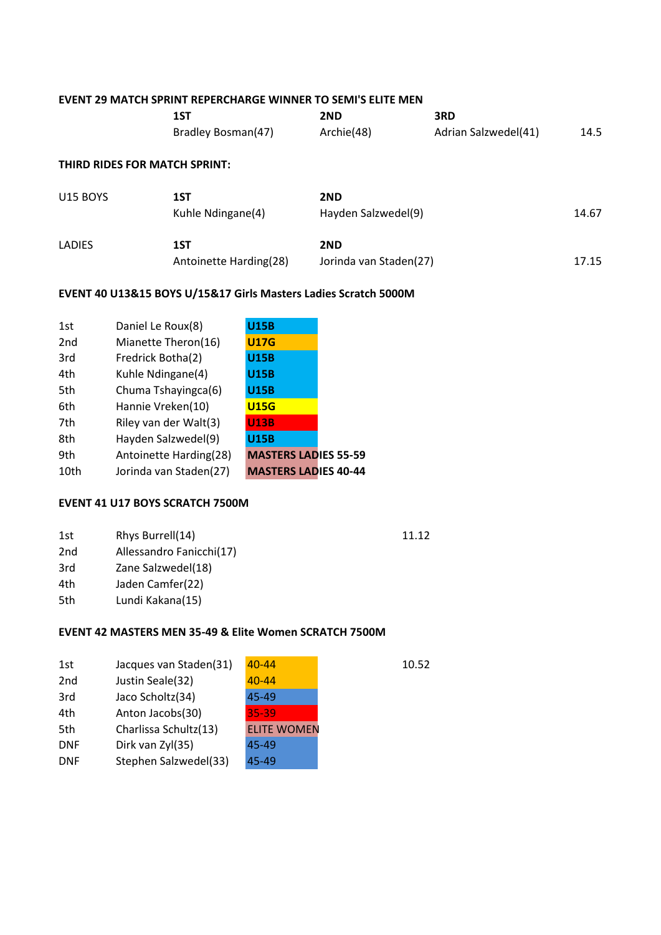#### **EVENT 29 MATCH SPRINT REPERCHARGE WINNER TO SEMI'S ELITE MEN**

| 1ST                | 2ND        | 3RD                  |      |
|--------------------|------------|----------------------|------|
| Bradley Bosman(47) | Archie(48) | Adrian Salzwedel(41) | 14.5 |

#### **THIRD RIDES FOR MATCH SPRINT:**

| <b>U15 BOYS</b> | 1ST<br>Kuhle Ndingane(4)      | 2ND<br>Hayden Salzwedel(9)    | 14.67 |
|-----------------|-------------------------------|-------------------------------|-------|
| <b>LADIES</b>   | 1ST<br>Antoinette Harding(28) | 2ND<br>Jorinda van Staden(27) | 17.15 |

#### **EVENT 40 U13&15 BOYS U/15&17 Girls Masters Ladies Scratch 5000M**

| 1st  | Daniel Le Roux(8)      | <b>U15B</b>                 |  |
|------|------------------------|-----------------------------|--|
| 2nd  | Mianette Theron(16)    | <b>U17G</b>                 |  |
| 3rd  | Fredrick Botha(2)      | <b>U15B</b>                 |  |
| 4th  | Kuhle Ndingane(4)      | <b>U15B</b>                 |  |
| 5th  | Chuma Tshayingca(6)    | <b>U15B</b>                 |  |
| 6th  | Hannie Vreken(10)      | <b>U15G</b>                 |  |
| 7th  | Riley van der Walt(3)  | <b>U13B</b>                 |  |
| 8th  | Hayden Salzwedel(9)    | <b>U15B</b>                 |  |
| 9th  | Antoinette Harding(28) | <b>MASTERS LADIES 55-59</b> |  |
| 10th | Jorinda van Staden(27) | <b>MASTERS LADIES 40-44</b> |  |

# **EVENT 41 U17 BOYS SCRATCH 7500M**

| 1st | Rhys Burrell(14)         | 11.12 |
|-----|--------------------------|-------|
| 2nd | Allessandro Fanicchi(17) |       |
| 3rd | Zane Salzwedel(18)       |       |
| 4th | Jaden Camfer(22)         |       |
| 5th | Lundi Kakana(15)         |       |

# **EVENT 42 MASTERS MEN 35-49 & Elite Women SCRATCH 7500M**

| 1st             | Jacques van Staden(31) | $40 - 44$          | 10.52 |
|-----------------|------------------------|--------------------|-------|
| 2 <sub>nd</sub> | Justin Seale(32)       | $40 - 44$          |       |
| 3rd             | Jaco Scholtz(34)       | 45-49              |       |
| 4th             | Anton Jacobs(30)       | 35-39              |       |
| 5th             | Charlissa Schultz(13)  | <b>ELITE WOMEN</b> |       |
| <b>DNF</b>      | Dirk van Zyl(35)       | 45-49              |       |
| <b>DNF</b>      | Stephen Salzwedel(33)  | 45-49              |       |
|                 |                        |                    |       |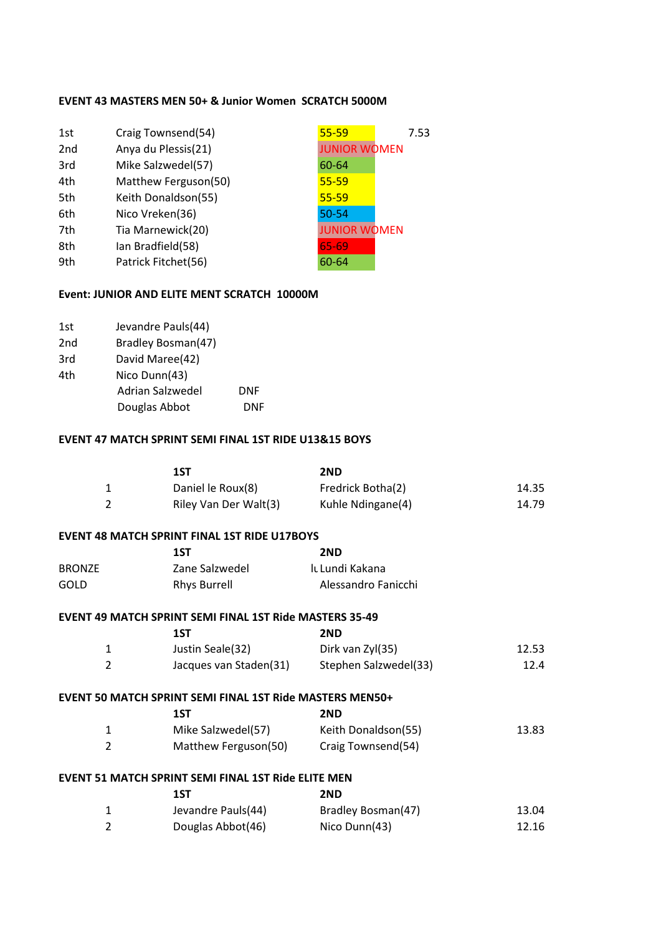## **EVENT 43 MASTERS MEN 50+ & Junior Women SCRATCH 5000M**

| 1st             | Craig Townsend(54)   | $55 - 59$           | 7.53 |
|-----------------|----------------------|---------------------|------|
| 2 <sub>nd</sub> | Anya du Plessis(21)  | <b>JUNIOR WOMEN</b> |      |
| 3rd             | Mike Salzwedel(57)   | 60-64               |      |
| 4th             | Matthew Ferguson(50) | $55 - 59$           |      |
| 5th             | Keith Donaldson(55)  | $55 - 59$           |      |
| 6th             | Nico Vreken(36)      | 50-54               |      |
| 7th             | Tia Marnewick(20)    | <b>JUNIOR WOMEN</b> |      |
| 8th             | Ian Bradfield(58)    | 65-69               |      |
| 9th             | Patrick Fitchet(56)  | 60-64               |      |
|                 |                      |                     |      |

## **Event: JUNIOR AND ELITE MENT SCRATCH 10000M**

| 1st             | Jevandre Pauls(44) |     |
|-----------------|--------------------|-----|
| 2 <sub>nd</sub> | Bradley Bosman(47) |     |
| 3rd             | David Maree(42)    |     |
| 4th             | Nico Dunn(43)      |     |
|                 | Adrian Salzwedel   | DNF |
|                 | Douglas Abbot      | DNF |
|                 |                    |     |

## **EVENT 47 MATCH SPRINT SEMI FINAL 1ST RIDE U13&15 BOYS**

|                | 1ST                                                             | 2ND                   |       |
|----------------|-----------------------------------------------------------------|-----------------------|-------|
| $\mathbf{1}$   | Daniel le Roux(8)                                               | Fredrick Botha(2)     | 14.35 |
| $\overline{2}$ | Riley Van Der Walt(3)                                           | Kuhle Ndingane(4)     | 14.79 |
|                | <b>EVENT 48 MATCH SPRINT FINAL 1ST RIDE U17BOYS</b>             |                       |       |
|                | 1ST                                                             | 2ND                   |       |
| <b>BRONZE</b>  | Zane Salzwedel                                                  | It Lundi Kakana       |       |
| GOLD           | <b>Rhys Burrell</b>                                             | Alessandro Fanicchi   |       |
|                | EVENT 49 MATCH SPRINT SEMI FINAL 1ST Ride MASTERS 35-49         |                       |       |
|                | 1ST                                                             | 2ND                   |       |
| $\mathbf{1}$   | Justin Seale(32)                                                | Dirk van Zyl(35)      | 12.53 |
| $\overline{2}$ | Jacques van Staden(31)                                          | Stephen Salzwedel(33) | 12.4  |
|                | <b>EVENT 50 MATCH SPRINT SEMI FINAL 1ST Ride MASTERS MEN50+</b> |                       |       |
|                | 1ST                                                             | 2ND                   |       |
| $\mathbf{1}$   | Mike Salzwedel(57)                                              | Keith Donaldson(55)   | 13.83 |
| $\overline{2}$ | Matthew Ferguson(50)                                            | Craig Townsend(54)    |       |
|                | EVENT 51 MATCH SPRINT SEMI FINAL 1ST Ride ELITE MEN             |                       |       |
|                | 1ST                                                             | 2ND                   |       |
| 1              | Jevandre Pauls(44)                                              | Bradley Bosman(47)    | 13.04 |
| $\overline{2}$ | Douglas Abbot(46)                                               | Nico Dunn(43)         | 12.16 |
|                |                                                                 |                       |       |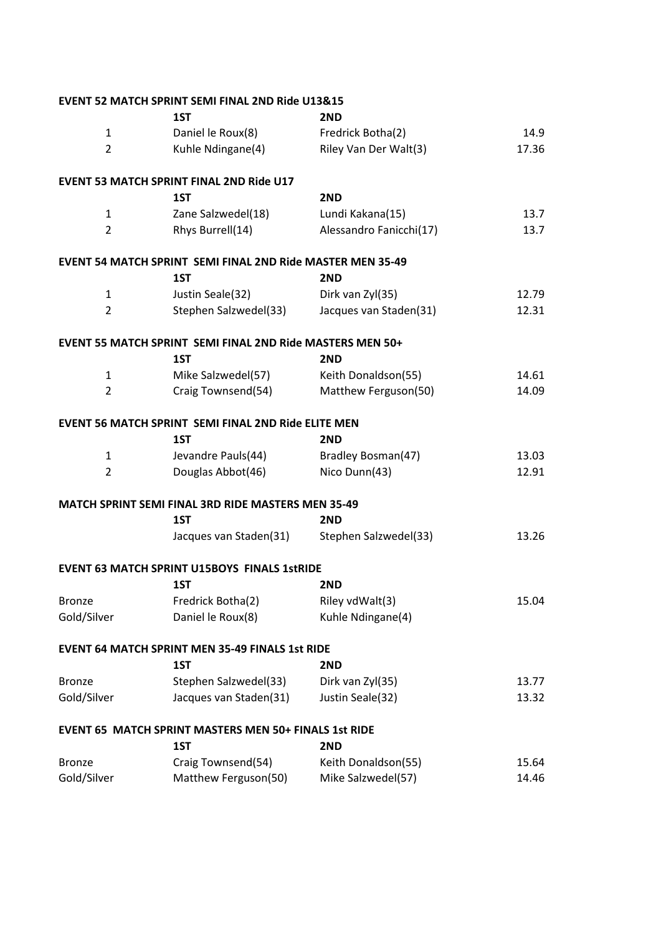|                | <b>EVENT 52 MATCH SPRINT SEMI FINAL 2ND Ride U13&amp;15</b>       |                         |       |
|----------------|-------------------------------------------------------------------|-------------------------|-------|
|                | 1ST                                                               | 2ND                     |       |
| $\mathbf{1}$   | Daniel le Roux(8)                                                 | Fredrick Botha(2)       | 14.9  |
| $\overline{2}$ | Kuhle Ndingane(4)                                                 | Riley Van Der Walt(3)   | 17.36 |
|                | <b>EVENT 53 MATCH SPRINT FINAL 2ND Ride U17</b>                   |                         |       |
|                | 1ST                                                               | 2ND                     |       |
| 1              | Zane Salzwedel(18)                                                | Lundi Kakana(15)        | 13.7  |
| $\overline{2}$ | Rhys Burrell(14)                                                  | Alessandro Fanicchi(17) | 13.7  |
|                | <b>EVENT 54 MATCH SPRINT SEMI FINAL 2ND Ride MASTER MEN 35-49</b> |                         |       |
|                | 1ST                                                               | 2ND                     |       |
| $\mathbf{1}$   | Justin Seale(32)                                                  | Dirk van Zyl(35)        | 12.79 |
| $\overline{2}$ | Stephen Salzwedel(33)                                             | Jacques van Staden(31)  | 12.31 |
|                | <b>EVENT 55 MATCH SPRINT SEMI FINAL 2ND Ride MASTERS MEN 50+</b>  |                         |       |
|                | 1ST                                                               | 2ND                     |       |
| $\mathbf{1}$   | Mike Salzwedel(57)                                                | Keith Donaldson(55)     | 14.61 |
| $\overline{2}$ | Craig Townsend(54)                                                | Matthew Ferguson(50)    | 14.09 |
|                | <b>EVENT 56 MATCH SPRINT SEMI FINAL 2ND Ride ELITE MEN</b>        |                         |       |
|                | 1ST                                                               | 2ND                     |       |
| $\mathbf{1}$   | Jevandre Pauls(44)                                                | Bradley Bosman(47)      | 13.03 |
| $\overline{2}$ | Douglas Abbot(46)                                                 | Nico Dunn(43)           | 12.91 |
|                | MATCH SPRINT SEMI FINAL 3RD RIDE MASTERS MEN 35-49                |                         |       |
|                | 1ST                                                               | 2ND                     |       |
|                | Jacques van Staden(31)                                            | Stephen Salzwedel(33)   | 13.26 |
|                | <b>EVENT 63 MATCH SPRINT U15BOYS FINALS 1stRIDE</b>               |                         |       |
|                | 1ST                                                               | 2ND                     |       |
| <b>Bronze</b>  | Fredrick Botha(2)                                                 | Riley vdWalt(3)         | 15.04 |
| Gold/Silver    | Daniel le Roux(8)                                                 | Kuhle Ndingane(4)       |       |
|                | <b>EVENT 64 MATCH SPRINT MEN 35-49 FINALS 1st RIDE</b>            |                         |       |
|                | 1ST                                                               | 2ND                     |       |
| <b>Bronze</b>  | Stephen Salzwedel(33)                                             | Dirk van Zyl(35)        | 13.77 |
| Gold/Silver    | Jacques van Staden(31)                                            | Justin Seale(32)        | 13.32 |
|                | <b>EVENT 65 MATCH SPRINT MASTERS MEN 50+ FINALS 1st RIDE</b>      |                         |       |
|                | 1ST                                                               | 2ND                     |       |
| <b>Bronze</b>  | Craig Townsend(54)                                                | Keith Donaldson(55)     | 15.64 |
| Gold/Silver    | Matthew Ferguson(50)                                              | Mike Salzwedel(57)      | 14.46 |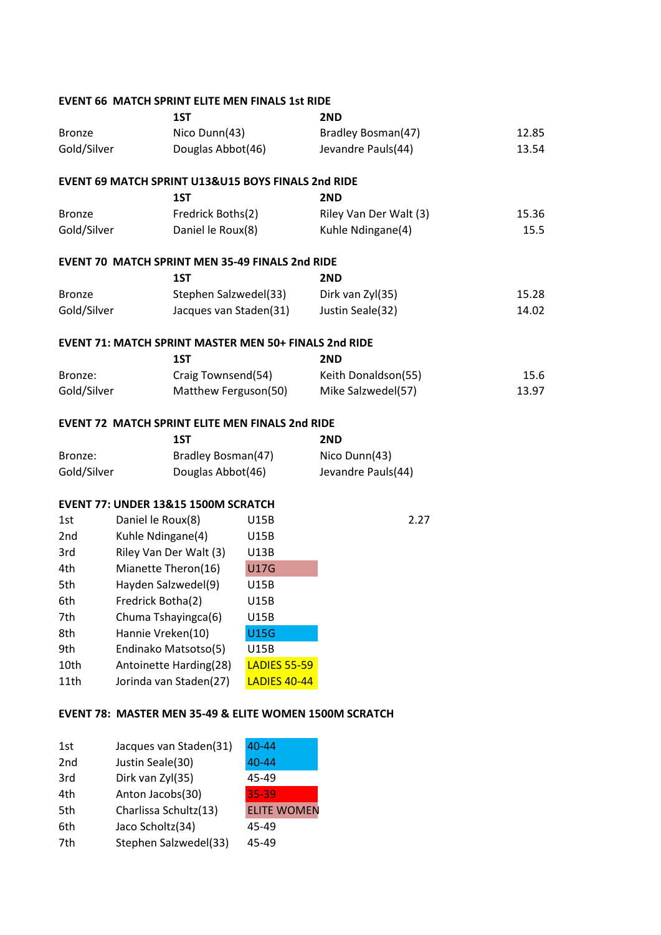|               |                   |                                     | <b>EVENT 66 MATCH SPRINT ELITE MEN FINALS 1st RIDE</b> |                                                        |       |
|---------------|-------------------|-------------------------------------|--------------------------------------------------------|--------------------------------------------------------|-------|
|               |                   | 1ST                                 |                                                        | 2ND                                                    |       |
| <b>Bronze</b> | Nico Dunn(43)     |                                     |                                                        | Bradley Bosman(47)                                     | 12.85 |
| Gold/Silver   |                   | Douglas Abbot(46)                   |                                                        | Jevandre Pauls(44)                                     | 13.54 |
|               |                   |                                     | EVENT 69 MATCH SPRINT U13&U15 BOYS FINALS 2nd RIDE     |                                                        |       |
|               |                   | 1ST                                 |                                                        | 2ND                                                    |       |
| <b>Bronze</b> |                   | Fredrick Boths(2)                   |                                                        | Riley Van Der Walt (3)                                 | 15.36 |
| Gold/Silver   |                   | Daniel le Roux(8)                   |                                                        | Kuhle Ndingane(4)                                      | 15.5  |
|               |                   |                                     | <b>EVENT 70 MATCH SPRINT MEN 35-49 FINALS 2nd RIDE</b> |                                                        |       |
|               |                   | 1ST                                 |                                                        | 2ND                                                    |       |
| <b>Bronze</b> |                   | Stephen Salzwedel(33)               |                                                        | Dirk van Zyl(35)                                       | 15.28 |
| Gold/Silver   |                   | Jacques van Staden(31)              |                                                        | Justin Seale(32)                                       | 14.02 |
|               |                   |                                     | EVENT 71: MATCH SPRINT MASTER MEN 50+ FINALS 2nd RIDE  |                                                        |       |
|               |                   | 1ST                                 |                                                        | 2ND                                                    |       |
| Bronze:       |                   | Craig Townsend(54)                  |                                                        | Keith Donaldson(55)                                    | 15.6  |
| Gold/Silver   |                   | Matthew Ferguson(50)                |                                                        | Mike Salzwedel(57)                                     | 13.97 |
|               |                   |                                     | <b>EVENT 72 MATCH SPRINT ELITE MEN FINALS 2nd RIDE</b> |                                                        |       |
|               |                   | 1ST                                 |                                                        | 2ND                                                    |       |
| Bronze:       |                   | Bradley Bosman(47)                  |                                                        | Nico Dunn(43)                                          |       |
| Gold/Silver   |                   | Douglas Abbot(46)                   |                                                        | Jevandre Pauls(44)                                     |       |
|               |                   | EVENT 77: UNDER 13&15 1500M SCRATCH |                                                        |                                                        |       |
| 1st           | Daniel le Roux(8) |                                     | <b>U15B</b>                                            | 2.27                                                   |       |
| 2nd           | Kuhle Ndingane(4) |                                     | <b>U15B</b>                                            |                                                        |       |
| 3rd           |                   | Riley Van Der Walt (3)              | <b>U13B</b>                                            |                                                        |       |
| 4th           |                   | Mianette Theron(16)                 | <b>U17G</b>                                            |                                                        |       |
| 5th           |                   | Hayden Salzwedel(9)                 | <b>U15B</b>                                            |                                                        |       |
| 6th           | Fredrick Botha(2) |                                     | U15B                                                   |                                                        |       |
| 7th           |                   | Chuma Tshayingca(6)                 | U15B                                                   |                                                        |       |
| 8th           | Hannie Vreken(10) |                                     | <b>U15G</b>                                            |                                                        |       |
| 9th           |                   | Endinako Matsotso(5)                | U15B                                                   |                                                        |       |
| 10th          |                   | Antoinette Harding(28)              | <b>LADIES 55-59</b>                                    |                                                        |       |
| 11th          |                   | Jorinda van Staden(27)              | <b>LADIES 40-44</b>                                    |                                                        |       |
|               |                   |                                     |                                                        | EVENT 78: MASTER MEN 35-49 & ELITE WOMEN 1500M SCRATCH |       |
|               |                   |                                     |                                                        |                                                        |       |

| 1st | Jacques van Staden(31) | $40 - 44$          |
|-----|------------------------|--------------------|
| 2nd | Justin Seale(30)       | 40-44              |
| 3rd | Dirk van Zyl(35)       | 45-49              |
| 4th | Anton Jacobs(30)       | 35-39              |
| 5th | Charlissa Schultz(13)  | <b>ELITE WOMEN</b> |
| 6th | Jaco Scholtz(34)       | 45-49              |
| 7th | Stephen Salzwedel(33)  | 45-49              |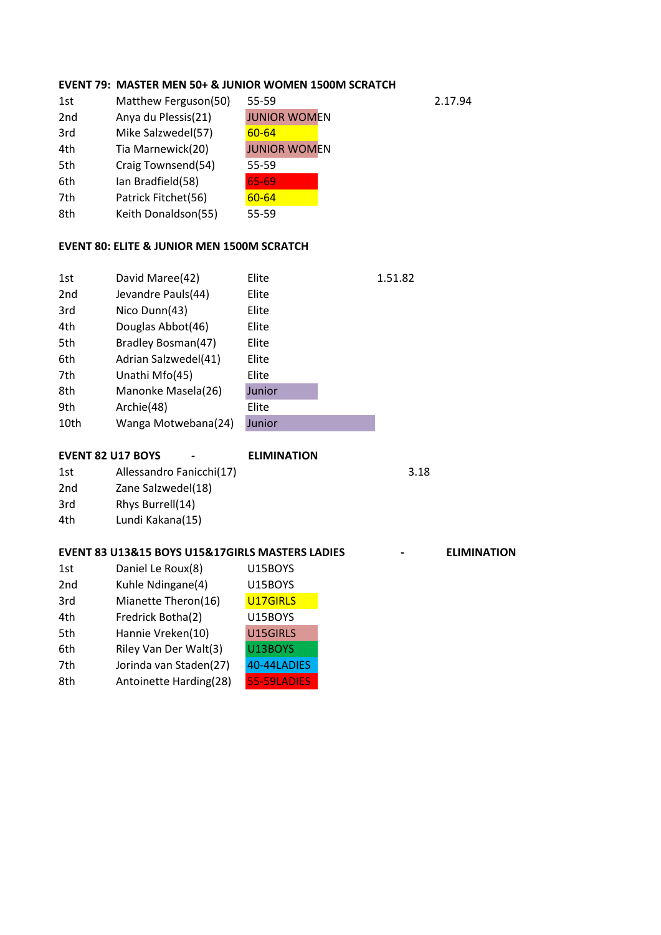## **EVENT 79: MASTER MEN 50+ & JUNIOR WOMEN 1500M SCRATCH**

| Matthew Ferguson(50) | 55-59               | 2.17.94 |
|----------------------|---------------------|---------|
| Anya du Plessis(21)  | <b>JUNIOR WOMEN</b> |         |
| Mike Salzwedel(57)   | $60 - 64$           |         |
| Tia Marnewick(20)    | <b>JUNIOR WOMEN</b> |         |
| Craig Townsend(54)   | 55-59               |         |
| Ian Bradfield(58)    | 65-69               |         |
| Patrick Fitchet(56)  | $60 - 64$           |         |
| Keith Donaldson(55)  | 55-59               |         |
|                      |                     |         |

#### **EVENT 80: ELITE & JUNIOR MEN 1500M SCRATCH**

| 1st  | David Maree(42)      | Elite  | 1.51.82 |
|------|----------------------|--------|---------|
| 2nd  | Jevandre Pauls(44)   | Elite  |         |
| 3rd  | Nico Dunn(43)        | Elite  |         |
| 4th  | Douglas Abbot(46)    | Elite  |         |
| 5th  | Bradley Bosman(47)   | Elite  |         |
| 6th  | Adrian Salzwedel(41) | Elite  |         |
| 7th  | Unathi Mfo(45)       | Elite  |         |
| 8th  | Manonke Masela(26)   | Junior |         |
| 9th  | Archie(48)           | Elite  |         |
| 10th | Wanga Motwebana(24)  | Junior |         |

|     | <b>EVENT 82 U17 BOYS</b> | $\blacksquare$ | <b>ELIMINATION</b> |      |
|-----|--------------------------|----------------|--------------------|------|
| 1st | Allessandro Fanicchi(17) |                |                    | 3.18 |
| 2nd | Zane Salzwedel(18)       |                |                    |      |
| 3rd | Rhys Burrell(14)         |                |                    |      |
| 4th | Lundi Kakana(15)         |                |                    |      |

#### **EVENT 83 U13&15 BOYS U15&17GIRLS MASTERS LADIES FOR A 4 FOLL ELIMINATION**

| 1st             | Daniel Le Roux(8)      | U15BOYS     |
|-----------------|------------------------|-------------|
| 2 <sub>nd</sub> | Kuhle Ndingane(4)      | U15BOYS     |
| 3rd             | Mianette Theron(16)    | U17GIRLS    |
| 4th             | Fredrick Botha(2)      | U15BOYS     |
| 5th             | Hannie Vreken(10)      | U15GIRLS    |
| 6th             | Riley Van Der Walt(3)  | U13BOYS     |
| 7th             | Jorinda van Staden(27) | 40-44LADIES |
| 8th             | Antoinette Harding(28) | 55-59LADIES |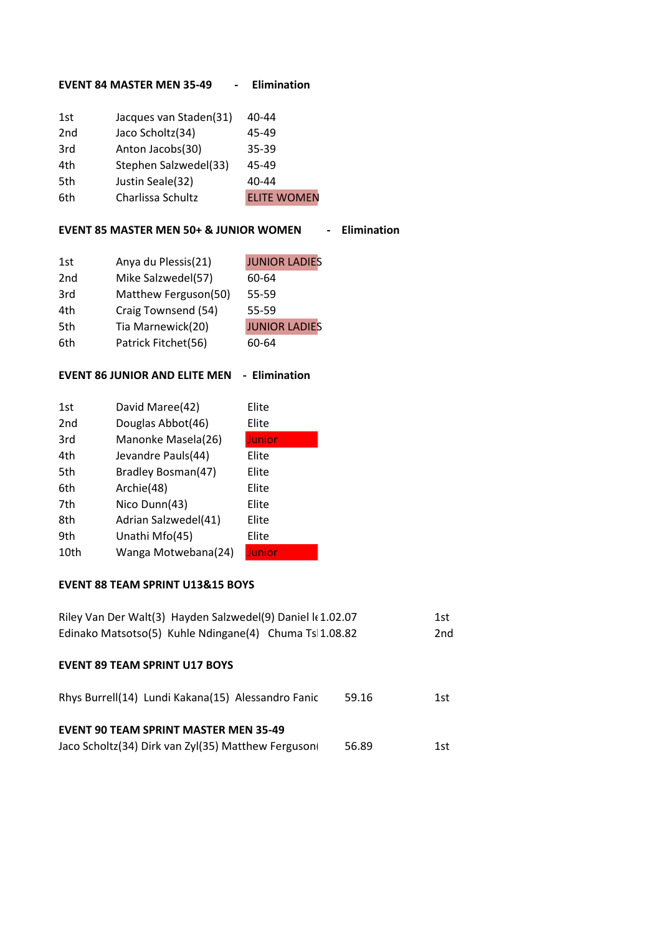#### **EVENT 84 MASTER MEN 35-49 - Elimination**

| 1st             | Jacques van Staden(31) | 40-44              |
|-----------------|------------------------|--------------------|
| 2 <sub>nd</sub> | Jaco Scholtz(34)       | 45-49              |
| 3rd             | Anton Jacobs(30)       | 35-39              |
| 4th             | Stephen Salzwedel(33)  | 45-49              |
| 5th             | Justin Seale(32)       | $40 - 44$          |
| 6th             | Charlissa Schultz      | <b>ELITE WOMEN</b> |

#### **EVENT 85 MASTER MEN 50+ & JUNIOR WOMEN - Elimination**

| 1st             | Anya du Plessis(21)  | <b>JUNIOR LADIES</b> |
|-----------------|----------------------|----------------------|
| 2 <sub>nd</sub> | Mike Salzwedel(57)   | 60-64                |
| 3rd             | Matthew Ferguson(50) | 55-59                |
| 4th             | Craig Townsend (54)  | 55-59                |
| 5th             | Tia Marnewick(20)    | <b>JUNIOR LADIES</b> |
| 6th             | Patrick Fitchet(56)  | 60-64                |

## **EVENT 86 JUNIOR AND ELITE MEN - Elimination**

| 1st  | David Maree(42)      | Elite  |
|------|----------------------|--------|
| 2nd  | Douglas Abbot(46)    | Elite  |
| 3rd  | Manonke Masela(26)   | Junior |
| 4th  | Jevandre Pauls(44)   | Elite  |
| 5th  | Bradley Bosman(47)   | Elite  |
| 6th  | Archie(48)           | Elite  |
| 7th  | Nico Dunn(43)        | Elite  |
| 8th  | Adrian Salzwedel(41) | Elite  |
| 9th  | Unathi Mfo(45)       | Elite  |
| 10th | Wanga Motwebana(24)  | Junior |

# **EVENT 88 TEAM SPRINT U13&15 BOYS**

| Riley Van Der Walt(3) Hayden Salzwedel(9) Daniel k 1.02.07<br>Edinako Matsotso(5) Kuhle Ndingane(4) Chuma Ts 1.08.82 |       |      |
|----------------------------------------------------------------------------------------------------------------------|-------|------|
| <b>EVENT 89 TEAM SPRINT U17 BOYS</b>                                                                                 |       |      |
| Rhys Burrell(14) Lundi Kakana(15) Alessandro Fanic                                                                   | 59.16 | 1st  |
| <b>EVENT 90 TEAM SPRINT MASTER MEN 35-49</b><br>Jaco Scholtz(34) Dirk van Zyl(35) Matthew Ferguson                   | 56.89 | 1st. |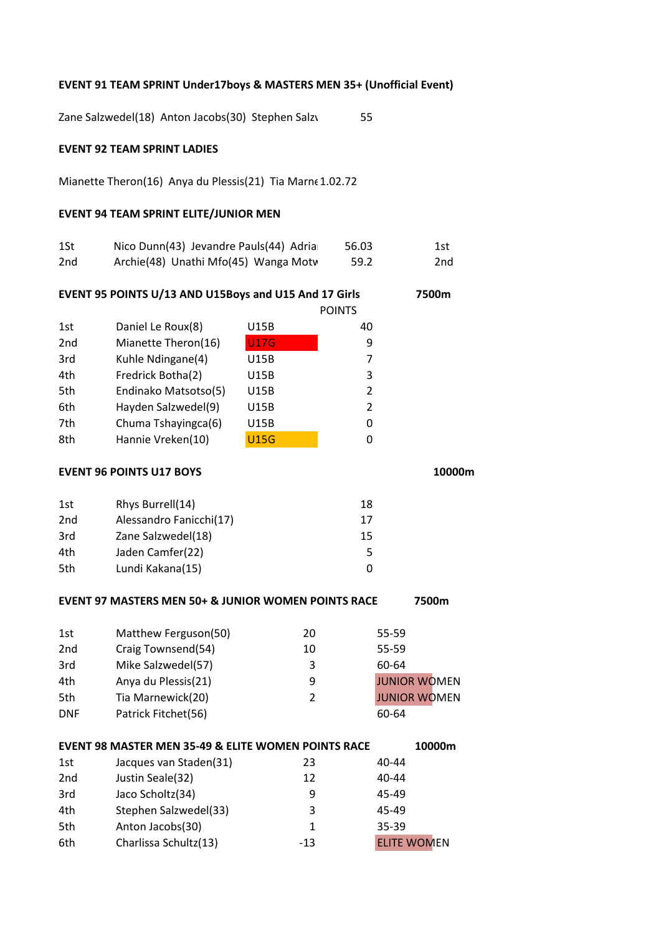#### **EVENT 91 TEAM SPRINT Under17boys & MASTERS MEN 35+ (Unofficial Event)**

Zane Salzwedel(18) Anton Jacobs(30) Stephen Salzwedel 55

## **EVENT 92 TEAM SPRINT LADIES**

Mianette Theron(16) Anya du Plessis(21) Tia Marne 1.02.72

## **EVENT 94 TEAM SPRINT ELITE/JUNIOR MEN**

| 1St             | Nico Dunn(43) Jevandre Pauls(44) Adria | 56.03 | 1st   |
|-----------------|----------------------------------------|-------|-------|
| 2 <sub>nd</sub> | Archie(48) Unathi Mfo(45) Wanga Moty   | 59.2  | 2nd - |

**EVENT 95 POINTS U/13 AND U15Boys and U15 And 17 Girls 7500m**

|                      |             | <b>POINTS</b> |
|----------------------|-------------|---------------|
| Daniel Le Roux(8)    | U15B        | 40            |
| Mianette Theron(16)  | <b>U17G</b> | 9             |
| Kuhle Ndingane(4)    | U15B        | 7             |
| Fredrick Botha(2)    | U15B        | 3             |
| Endinako Matsotso(5) | U15B        | $\mathcal{P}$ |
| Hayden Salzwedel(9)  | U15B        | $\mathcal{P}$ |
| Chuma Tshayingca(6)  | U15B        | 0             |
| Hannie Vreken(10)    | <b>U15G</b> | 0             |
|                      |             |               |

#### **EVENT 96 POINTS U17 BOYS** 10000m

| 1st | Rhys Burrell(14)        | 18 |
|-----|-------------------------|----|
| 2nd | Alessandro Fanicchi(17) | 17 |
| 3rd | Zane Salzwedel(18)      | 15 |
| 4th | Jaden Camfer(22)        | 5  |
| 5th | Lundi Kakana(15)        |    |

#### **EVENT 97 MASTERS MEN 50+ & JUNIOR WOMEN POINTS RACE 7500m**

|                 | <b>EVENT 98 MASTER MEN 35-49 &amp; ELITE WOMEN POINTS RACE</b><br>10000m |    |                     |  |
|-----------------|--------------------------------------------------------------------------|----|---------------------|--|
| <b>DNF</b>      | Patrick Fitchet(56)                                                      |    | 60-64               |  |
| 5th             | Tia Marnewick(20)                                                        | 2  | <b>JUNIOR WOMEN</b> |  |
| 4th             | Anya du Plessis(21)                                                      | 9  | <b>JUNIOR WOMEN</b> |  |
| 3rd             | Mike Salzwedel(57)                                                       | 3  | 60-64               |  |
| 2 <sub>nd</sub> | Craig Townsend(54)                                                       | 10 | 55-59               |  |
| 1st             | Matthew Ferguson(50)                                                     | 20 | 55-59               |  |
|                 |                                                                          |    |                     |  |

| 1st | Jacques van Staden(31) | 23    | 40-44              |
|-----|------------------------|-------|--------------------|
| 2nd | Justin Seale(32)       | 12    | 40-44              |
| 3rd | Jaco Scholtz(34)       | q     | 45-49              |
| 4th | Stephen Salzwedel(33)  | 3     | 45-49              |
| 5th | Anton Jacobs(30)       |       | $35 - 39$          |
| 6th | Charlissa Schultz(13)  | $-13$ | <b>ELITE WOMEN</b> |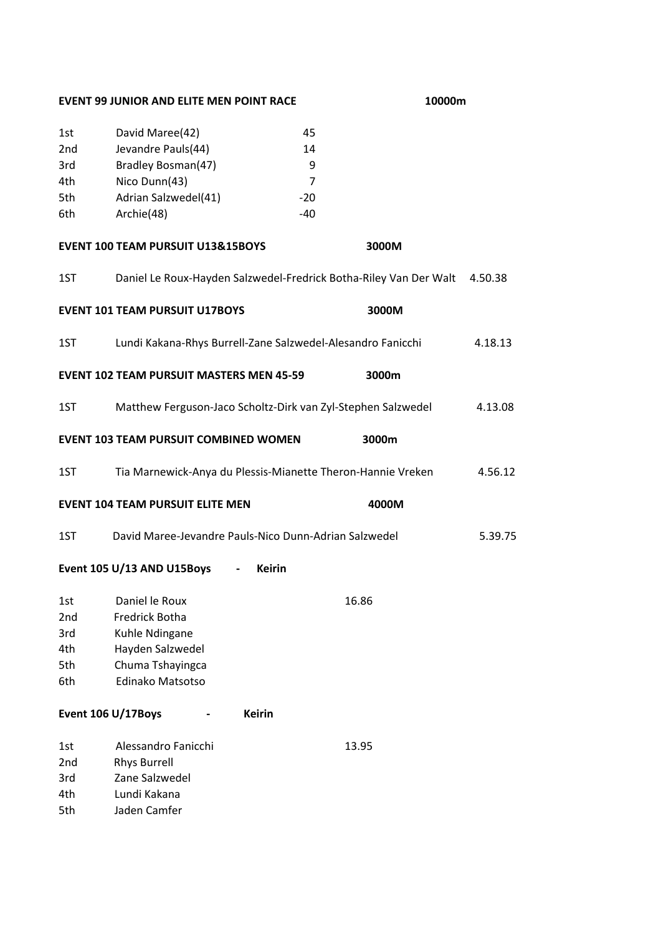#### **EVENT 99 JUNIOR AND ELITE MEN POINT RACE 10000m**

| 1st             | David Maree(42)      | 45  |
|-----------------|----------------------|-----|
| 2 <sub>nd</sub> | Jevandre Pauls(44)   | 14  |
| 3rd             | Bradley Bosman(47)   | q   |
| 4th             | Nico Dunn(43)        | 7   |
| 5th             | Adrian Salzwedel(41) | -20 |
| 6th             | Archie(48)           | -40 |
|                 |                      |     |

#### **EVENT 100 TEAM PURSUIT U13&15BOYS 3000M**

**EVENT 101 TEAM PURSUIT U17BOYS 3000M**

- 1ST Daniel Le Roux-Hayden Salzwedel-Fredrick Botha-Riley Van Der Walt 4.50.38
- 1ST Lundi Kakana-Rhys Burrell-Zane Salzwedel-Alesandro Fanicchi 4.18.13 **EVENT 102 TEAM PURSUIT MASTERS MEN 45-59 3000m**
- 1ST Matthew Ferguson-Jaco Scholtz-Dirk van Zyl-Stephen Salzwedel 4.13.08 **EVENT 103 TEAM PURSUIT COMBINED WOMEN 3000m**
- 1ST Tia Marnewick-Anya du Plessis-Mianette Theron-Hannie Vreken 4.56.12 **EVENT 104 TEAM PURSUIT ELITE MEN 4000M**
- 1ST David Maree-Jevandre Pauls-Nico Dunn-Adrian Salzwedel 5.39.75

# **Event 105 U/13 AND U15Boys - Keirin**

| 1st             | Daniel le Roux   | 16.86 |
|-----------------|------------------|-------|
| 2 <sub>nd</sub> | Fredrick Botha   |       |
| 3rd             | Kuhle Ndingane   |       |
| 4th             | Hayden Salzwedel |       |
| 5th             | Chuma Tshayingca |       |
| 6th             | Edinako Matsotso |       |

**Event 106 U/17Boys - Keirin**

| 1st             | Alessandro Fanicchi | 13.95 |
|-----------------|---------------------|-------|
| 2 <sub>nd</sub> | <b>Rhys Burrell</b> |       |
| 3rd             | Zane Salzwedel      |       |
| 4th             | Lundi Kakana        |       |
| 5th             | Jaden Camfer        |       |
|                 |                     |       |